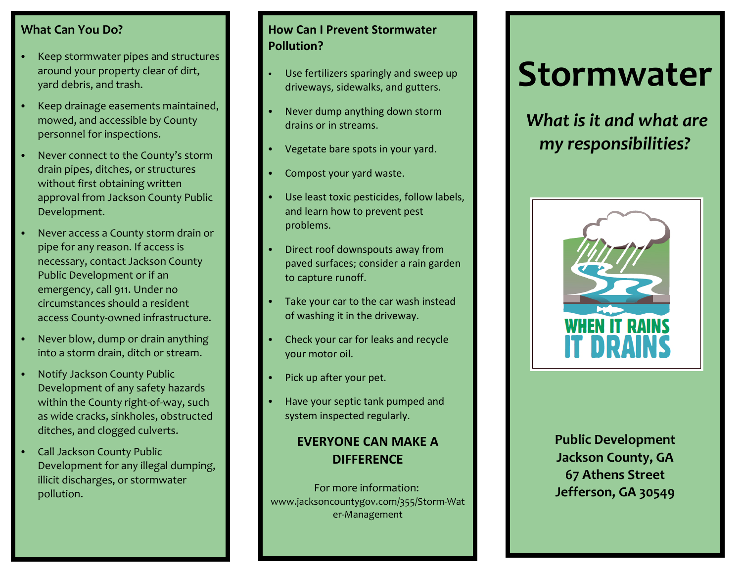#### **What Can You Do?**

- C Keep stormwater pipes and structures around your property clear of dirt, yard debris, and trash.
- C Keep drainage easements maintained, mowed, and accessible by County personnel for inspections.
- C Never connect to the County's storm drain pipes, ditches, or structures without first obtaining written approval from Jackson County Public Development.
- C Never access a County storm drain or pipe for any reason. If access is necessary, contact Jackson County Public Development or if an emergency, call 911. Under no circumstances should a resident access County‐owned infrastructure.
- C Never blow, dump or drain anything into a storm drain, ditch or stream.
- C Notify Jackson County Public Development of any safety hazards within the County right‐of‐way, such as wide cracks, sinkholes, obstructed ditches, and clogged culverts.
- C Call Jackson County Public Development for any illegal dumping, illicit discharges, or stormwater pollution.

## **How Can I Prevent Stormwater Pollution?**

- C Use fertilizers sparingly and sweep up driveways, sidewalks, and gutters.
- C Never dump anything down storm drains or in streams.
- CVegetate bare spots in your yard.
- CCompost your yard waste.
- C Use least toxic pesticides, follow labels, and learn how to prevent pest problems.
- C Direct roof downspouts away from paved surfaces; consider <sup>a</sup> rain garden to capture runoff.
- C Take your car to the car wash instead of washing it in the driveway.
- C Check your car for leaks and recycle your motor oil.
- C• Pick up after your pet.
- C Have your septic tank pumped and system inspected regularly.

# **EVERYONE CAN MAKE ADIFFERENCE**

For more information: www.jacksoncountygov.com/355/Storm‐Wat er‐Management

# **Stormwater**

*What is it and what are my responsibilities?*



**Public Development Jackson County, GA 67 Athens Street Jefferson, GA 30549**